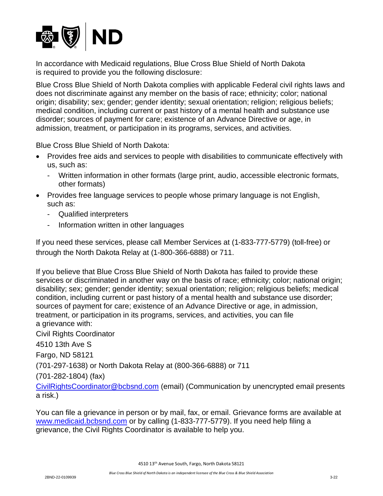

In accordance with Medicaid regulations, Blue Cross Blue Shield of North Dakota is required to provide you the following disclosure:

Blue Cross Blue Shield of North Dakota complies with applicable Federal civil rights laws and does not discriminate against any member on the basis of race; ethnicity; color; national origin; disability; sex; gender; gender identity; sexual orientation; religion; religious beliefs; medical condition, including current or past history of a mental health and substance use disorder; sources of payment for care; existence of an Advance Directive or age, in admission, treatment, or participation in its programs, services, and activities.

Blue Cross Blue Shield of North Dakota:

- Provides free aids and services to people with disabilities to communicate effectively with us, such as:
	- Written information in other formats (large print, audio, accessible electronic formats, other formats)
- Provides free language services to people whose primary language is not English, such as:
	- Qualified interpreters
	- Information written in other languages

If you need these services, please call Member Services at (1-833-777-5779) (toll-free) or through the North Dakota Relay at (1-800-366-6888) or 711.

If you believe that Blue Cross Blue Shield of North Dakota has failed to provide these services or discriminated in another way on the basis of race; ethnicity; color; national origin; disability; sex; gender; gender identity; sexual orientation; religion; religious beliefs; medical condition, including current or past history of a mental health and substance use disorder; sources of payment for care; existence of an Advance Directive or age, in admission, treatment, or participation in its programs, services, and activities, you can file a grievance with:

Civil Rights Coordinator

4510 13th Ave S

Fargo, ND 58121

(701-297-1638) or North Dakota Relay at (800-366-6888) or 711

(701-282-1804) (fax)

[CivilRightsCoordinator@bcbsnd.com](mailto:CivilRightsCoordinator@bcbsnd.com) (email) (Communication by unencrypted email presents a risk.)

You can file a grievance in person or by mail, fax, or email. Grievance forms are available at [www.medicaid.bcbsnd.com](http://www.medicaid.bcbsnd.com/) or by calling (1-833-777-5779). If you need help filing a grievance, the Civil Rights Coordinator is available to help you.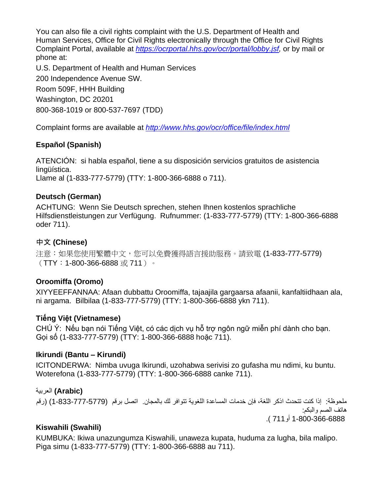You can also file a civil rights complaint with the U.S. Department of Health and Human Services, Office for Civil Rights electronically through the Office for Civil Rights Complaint Portal, available at *[https://ocrportal.hhs.gov/ocr/portal/lobby.jsf,](https://ocrportal.hhs.gov/ocr/portal/lobby.jsf)* or by mail or phone at:

U.S. Department of Health and Human Services 200 Independence Avenue SW. Room 509F, HHH Building Washington, DC 20201 800-368-1019 or 800-537-7697 (TDD)

Complaint forms are available at *<http://www.hhs.gov/ocr/office/file/index.html>*

# **Español (Spanish)**

ATENCIÓN: si habla español, tiene a su disposición servicios gratuitos de asistencia lingüística.

Llame al (1-833-777-5779) (TTY: 1-800-366-6888 o 711).

## **Deutsch (German)**

ACHTUNG: Wenn Sie Deutsch sprechen, stehen Ihnen kostenlos sprachliche Hilfsdienstleistungen zur Verfügung. Rufnummer: (1-833-777-5779) (TTY: 1-800-366-6888 oder 711).

# 中文 **(Chinese)**

注意:如果您使用繁體中文,您可以免費獲得語言援助服務。請致電 (1-833-777-5779)  $(TTY:1-800-366-6888 \n\ddot{\textbf{x}} 711)$ 

# **Oroomiffa (Oromo)**

XIYYEEFFANNAA: Afaan dubbattu Oroomiffa, tajaajila gargaarsa afaanii, kanfaltiidhaan ala, ni argama. Bilbilaa (1-833-777-5779) (TTY: 1-800-366-6888 ykn 711).

# **Tiếng Việt (Vietnamese)**

CHÚ Ý: Nếu bạn nói Tiếng Việt, có các dịch vụ hỗ trợ ngôn ngữ miễn phí dành cho bạn. Gọi số (1-833-777-5779) (TTY: 1-800-366-6888 hoặc 711).

# **Ikirundi (Bantu – Kirundi)**

ICITONDERWA: Nimba uvuga Ikirundi, uzohabwa serivisi zo gufasha mu ndimi, ku buntu. Woterefona (1-833-777-5779) (TTY: 1-800-366-6888 canke 711).

**(Arabic (**العربية ملحوظة: إذا كنت تتحدث اذكر اللغة، فإن خدمات المساعدة اللغوية تتوافر لك بالمجان. اتصل برقم (1-833-777-5779) )رقم هاتف الصم والبكم:

1-800-366-6888 أو711 (.

# **Kiswahili (Swahili)**

KUMBUKA: Ikiwa unazungumza Kiswahili, unaweza kupata, huduma za lugha, bila malipo. Piga simu (1-833-777-5779) (TTY: 1-800-366-6888 au 711).